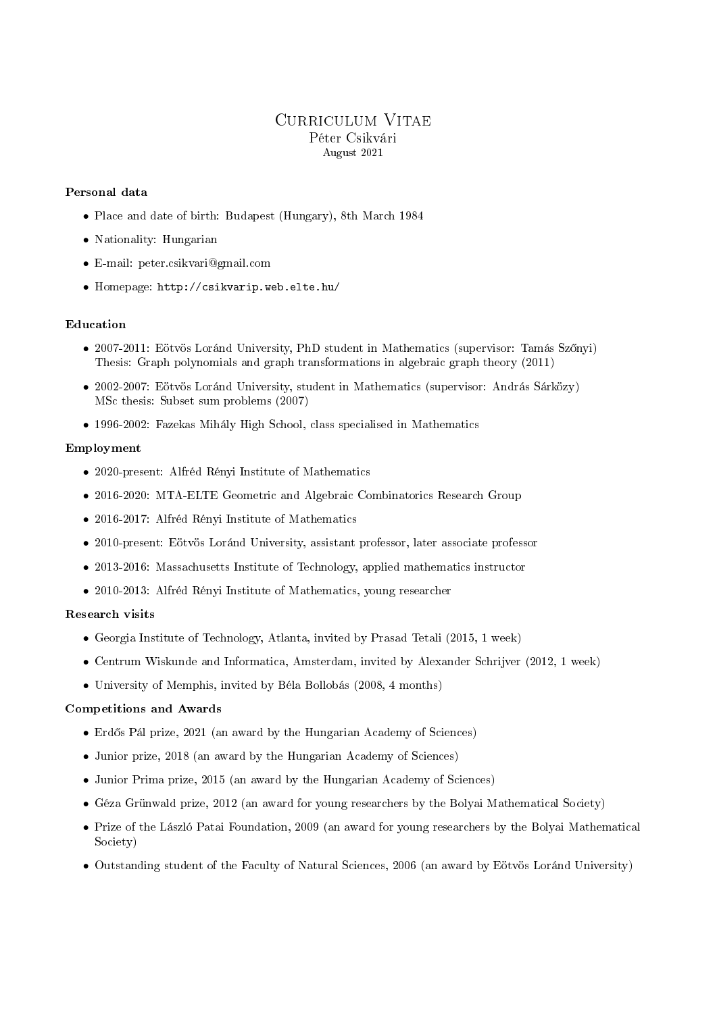# Curriculum Vitae Péter Csikvári August 2021

# Personal data

- Place and date of birth: Budapest (Hungary), 8th March 1984
- Nationality: Hungarian
- E-mail: peter.csikvari@gmail.com
- Homepage: http://csikvarip.web.elte.hu/

# Education

- 2007-2011: Eötvös Loránd University, PhD student in Mathematics (supervisor: Tamás Szőnyi) Thesis: Graph polynomials and graph transformations in algebraic graph theory (2011)
- 2002-2007: Eötvös Loránd University, student in Mathematics (supervisor: András Sárközy) MSc thesis: Subset sum problems (2007)
- 1996-2002: Fazekas Mihály High School, class specialised in Mathematics

# Employment

- 2020-present: Alfréd Rényi Institute of Mathematics
- 2016-2020: MTA-ELTE Geometric and Algebraic Combinatorics Research Group
- 2016-2017: Alfréd Rényi Institute of Mathematics
- 2010-present: Eötvös Loránd University, assistant professor, later associate professor
- 2013-2016: Massachusetts Institute of Technology, applied mathematics instructor
- 2010-2013: Alfréd Rényi Institute of Mathematics, young researcher

### Research visits

- Georgia Institute of Technology, Atlanta, invited by Prasad Tetali (2015, 1 week)
- Centrum Wiskunde and Informatica, Amsterdam, invited by Alexander Schrijver (2012, 1 week)
- University of Memphis, invited by Béla Bollobás (2008, 4 months)

# Competitions and Awards

- Erdős Pál prize, 2021 (an award by the Hungarian Academy of Sciences)
- Junior prize, 2018 (an award by the Hungarian Academy of Sciences)
- Junior Prima prize, 2015 (an award by the Hungarian Academy of Sciences)
- Géza Grünwald prize, 2012 (an award for young researchers by the Bolyai Mathematical Society)
- Prize of the László Patai Foundation, 2009 (an award for young researchers by the Bolyai Mathematical Society)
- Outstanding student of the Faculty of Natural Sciences, 2006 (an award by Eötvös Loránd University)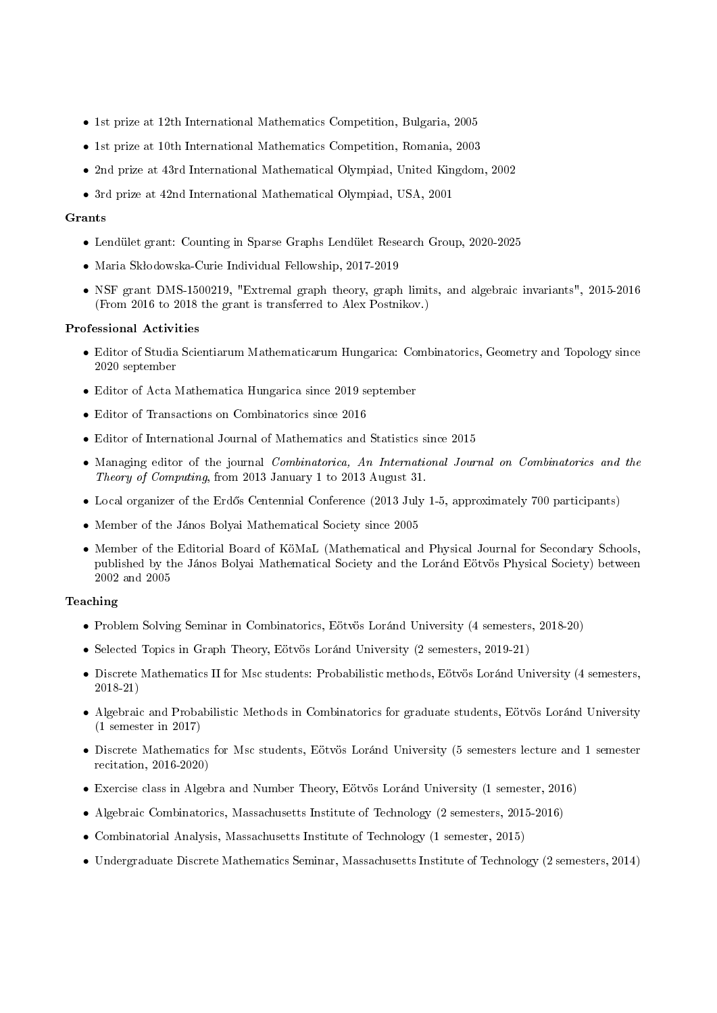- 1st prize at 12th International Mathematics Competition, Bulgaria, 2005
- 1st prize at 10th International Mathematics Competition, Romania, 2003
- 2nd prize at 43rd International Mathematical Olympiad, United Kingdom, 2002
- 3rd prize at 42nd International Mathematical Olympiad, USA, 2001

#### Grants

- Lendület grant: Counting in Sparse Graphs Lendület Research Group, 2020-2025
- Maria Skłodowska-Curie Individual Fellowship, 2017-2019
- NSF grant DMS-1500219, "Extremal graph theory, graph limits, and algebraic invariants", 2015-2016 (From 2016 to 2018 the grant is transferred to Alex Postnikov.)

#### Professional Activities

- Editor of Studia Scientiarum Mathematicarum Hungarica: Combinatorics, Geometry and Topology since 2020 september
- Editor of Acta Mathematica Hungarica since 2019 september
- Editor of Transactions on Combinatorics since 2016
- Editor of International Journal of Mathematics and Statistics since 2015
- Managing editor of the journal *Combinatorica*, An International Journal on Combinatorics and the Theory of Computing, from 2013 January 1 to 2013 August 31.
- Local organizer of the Erdős Centennial Conference (2013 July 1-5, approximately 700 participants)
- Member of the János Bolyai Mathematical Society since 2005
- Member of the Editorial Board of KöMaL (Mathematical and Physical Journal for Secondary Schools, published by the János Bolyai Mathematical Society and the Loránd Eötvös Physical Society) between 2002 and 2005

# Teaching

- Problem Solving Seminar in Combinatorics, Eötvös Loránd University (4 semesters, 2018-20)
- Selected Topics in Graph Theory, Eötvös Loránd University (2 semesters, 2019-21)
- Discrete Mathematics II for Msc students: Probabilistic methods, Eötvös Loránd University (4 semesters, 2018-21)
- Algebraic and Probabilistic Methods in Combinatorics for graduate students, Eötvös Loránd University (1 semester in 2017)
- Discrete Mathematics for Msc students, Eötvös Loránd University (5 semesters lecture and 1 semester recitation, 2016-2020)
- Exercise class in Algebra and Number Theory, Eötvös Loránd University (1 semester, 2016)
- Algebraic Combinatorics, Massachusetts Institute of Technology (2 semesters, 2015-2016)
- Combinatorial Analysis, Massachusetts Institute of Technology (1 semester, 2015)
- Undergraduate Discrete Mathematics Seminar, Massachusetts Institute of Technology (2 semesters, 2014)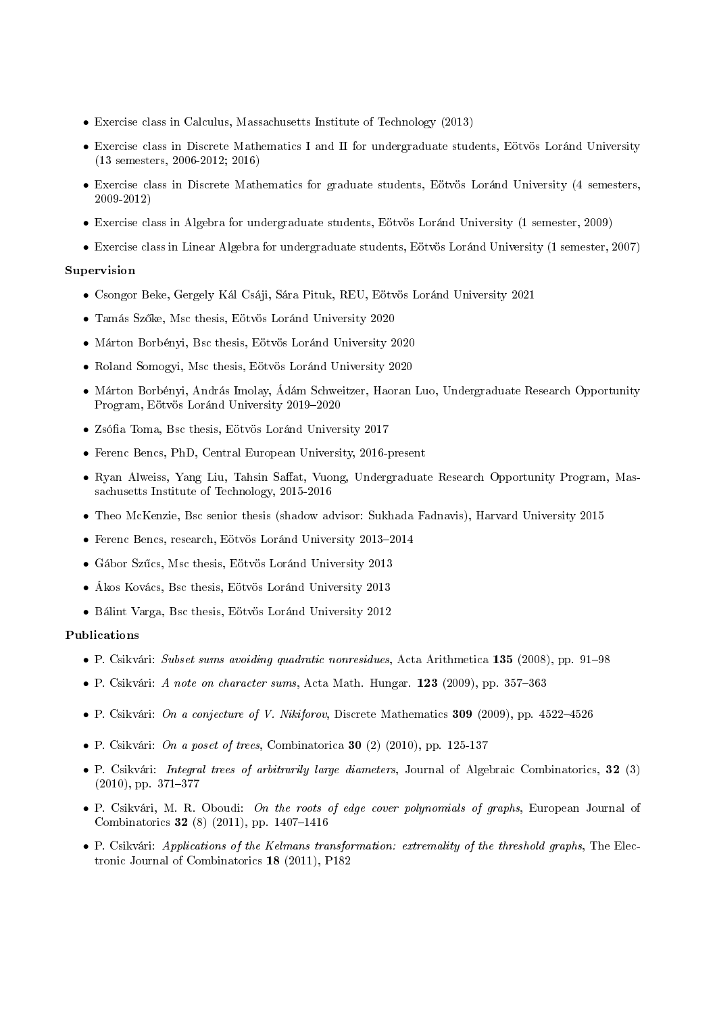- Exercise class in Calculus, Massachusetts Institute of Technology (2013)
- Exercise class in Discrete Mathematics I and II for undergraduate students, Eötvös Loránd University (13 semesters, 2006-2012; 2016)
- Exercise class in Discrete Mathematics for graduate students, Eötvös Loránd University (4 semesters, 2009-2012)
- Exercise class in Algebra for undergraduate students, Eötvös Loránd University (1 semester, 2009)
- Exercise class in Linear Algebra for undergraduate students, Eötvös Loránd University (1 semester, 2007)

### Supervision

- Csongor Beke, Gergely Kál Csáji, Sára Pituk, REU, Eötvös Loránd University 2021
- Tamás Sz®ke, Msc thesis, Eötvös Loránd University 2020
- Márton Borbényi, Bsc thesis, Eötvös Loránd University 2020
- Roland Somogyi, Msc thesis, Eötvös Loránd University 2020
- Márton Borbényi, András Imolay, Ádám Schweitzer, Haoran Luo, Undergraduate Research Opportunity Program, Eötvös Loránd University 2019-2020
- Zsófia Toma, Bsc thesis, Eötvös Loránd University 2017
- Ferenc Bencs, PhD, Central European University, 2016-present
- Ryan Alweiss, Yang Liu, Tahsin Saffat, Vuong, Undergraduate Research Opportunity Program, Massachusetts Institute of Technology, 2015-2016
- Theo McKenzie, Bsc senior thesis (shadow advisor: Sukhada Fadnavis), Harvard University 2015
- $\bullet$  Ferenc Bencs, research, Eötvös Loránd University 2013-2014
- Gábor Szűcs, Msc thesis, Eötvös Loránd University 2013
- Ákos Kovács, Bsc thesis, Eötvös Loránd University 2013
- Bálint Varga, Bsc thesis, Eötvös Loránd University 2012

### Publications

- P. Csikvári: Subset sums avoiding quadratic nonresidues, Acta Arithmetica 135 (2008), pp. 91–98
- P. Csikvári: A note on character sums, Acta Math. Hungar. 123 (2009), pp. 357–363
- P. Csikvári: On a conjecture of V. Nikiforov, Discrete Mathematics 309 (2009), pp. 4522–4526
- P. Csikvári: *On a poset of trees*, Combinatorica **30** (2) (2010), pp. 125-137
- P. Csikvári: Integral trees of arbitrarily large diameters, Journal of Algebraic Combinatorics, 32 (3)  $(2010)$ , pp.  $371-377$
- P. Csikvári, M. R. Oboudi: On the roots of edge cover polynomials of graphs, European Journal of Combinatorics 32 (8) (2011), pp. 1407-1416
- P. Csikvári: Applications of the Kelmans transformation: extremality of the threshold graphs, The Electronic Journal of Combinatorics 18 (2011), P182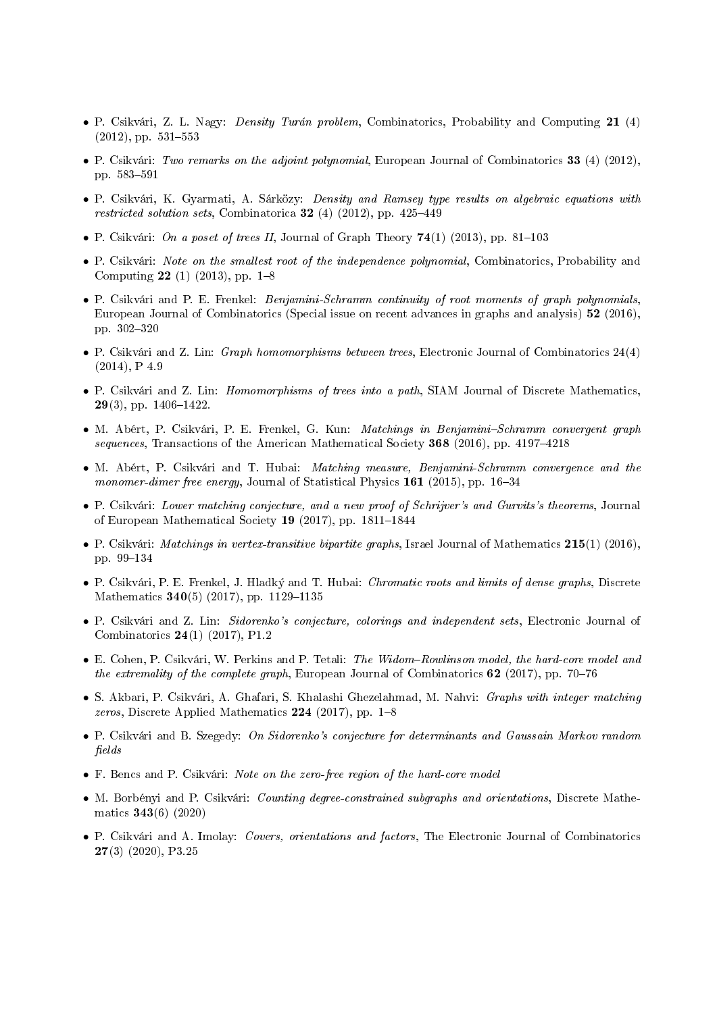- P. Csikvári, Z. L. Nagy: Density Turán problem, Combinatorics, Probability and Computing 21 (4)  $(2012)$ , pp.  $531-553$
- P. Csikvári: Two remarks on the adjoint polynomial, European Journal of Combinatorics 33 (4) (2012), pp. 583-591
- P. Csikvári, K. Gyarmati, A. Sárközy: Density and Ramsey type results on algebraic equations with restricted solution sets, Combinatorica 32 (4) (2012), pp. 425-449
- P. Csikvári: On a poset of trees II, Journal of Graph Theory  $74(1)$  (2013), pp. 81–103
- P. Csikvári: Note on the smallest root of the independence polynomial, Combinatorics, Probability and Computing 22 (1) (2013), pp.  $1-8$
- P. Csikvári and P. E. Frenkel: Benjamini-Schramm continuity of root moments of graph polynomials, European Journal of Combinatorics (Special issue on recent advances in graphs and analysis) 52 (2016), pp. 302-320
- P. Csikvári and Z. Lin: Graph homomorphisms between trees, Electronic Journal of Combinatorics 24(4)  $(2014)$ , P  $4.9$
- P. Csikvári and Z. Lin: *Homomorphisms of trees into a path*, SIAM Journal of Discrete Mathematics.  $29(3)$ , pp.  $1406-1422$ .
- M. Abért, P. Csikvári, P. E. Frenkel, G. Kun: Matchings in Benjamini-Schramm convergent graph  $sequences, Transactions of the American Mathematical Society 368 (2016), pp. 4197–4218$
- M. Abért, P. Csikvári and T. Hubai: *Matching measure, Benjamini-Schramm convergence and the* monomer-dimer free energy, Journal of Statistical Physics  $161$  (2015), pp. 16-34
- P. Csikvári: Lower matching conjecture, and a new proof of Schrijver's and Gurvits's theorems, Journal of European Mathematical Society 19 (2017), pp.  $1811-1844$
- P. Csikvári: Matchings in vertex-transitive bipartite graphs, Israel Journal of Mathematics 215(1) (2016), pp. 99-134
- P. Csikvári, P. E. Frenkel, J. Hladký and T. Hubai: *Chromatic roots and limits of dense graphs*, Discrete Mathematics  $340(5)$  (2017), pp. 1129-1135
- P. Csikvári and Z. Lin: Sidorenko's conjecture, colorings and independent sets, Electronic Journal of Combinatorics 24(1) (2017), P1.2
- E. Cohen, P. Csikvári, W. Perkins and P. Tetali: The Widom-Rowlinson model, the hard-core model and the extremality of the complete graph, European Journal of Combinatorics 62 (2017), pp. 70–76
- S. Akbari, P. Csikvári, A. Ghafari, S. Khalashi Ghezelahmad, M. Nahvi: Graphs with integer matching zeros, Discrete Applied Mathematics  $224$  (2017), pp. 1-8
- P. Csikvári and B. Szegedy: On Sidorenko's conjecture for determinants and Gaussain Markov random fields
- F. Bencs and P. Csikvári: Note on the zero-free region of the hard-core model
- M. Borbényi and P. Csikvári: *Counting degree-constrained subgraphs and orientations*, Discrete Mathematics 343(6) (2020)
- P. Csikvári and A. Imolay: Covers, orientations and factors, The Electronic Journal of Combinatorics 27(3) (2020), P3.25